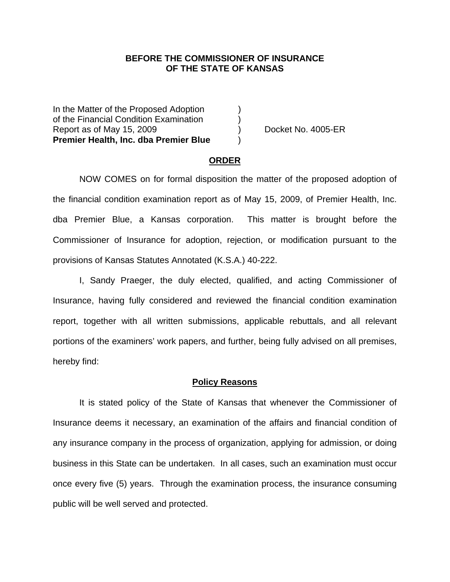### **BEFORE THE COMMISSIONER OF INSURANCE OF THE STATE OF KANSAS**

In the Matter of the Proposed Adoption of the Financial Condition Examination ) Report as of May 15, 2009 (and Contact Contact Contact Contact Contact Contact Contact Contact Contact Contact Contact Contact Contact Contact Contact Contact Contact Contact Contact Contact Contact Contact Contact Contact **Premier Health, Inc. dba Premier Blue** )

### **ORDER**

 NOW COMES on for formal disposition the matter of the proposed adoption of the financial condition examination report as of May 15, 2009, of Premier Health, Inc. dba Premier Blue, a Kansas corporation. This matter is brought before the Commissioner of Insurance for adoption, rejection, or modification pursuant to the provisions of Kansas Statutes Annotated (K.S.A.) 40-222.

 I, Sandy Praeger, the duly elected, qualified, and acting Commissioner of Insurance, having fully considered and reviewed the financial condition examination report, together with all written submissions, applicable rebuttals, and all relevant portions of the examiners' work papers, and further, being fully advised on all premises, hereby find:

#### **Policy Reasons**

 It is stated policy of the State of Kansas that whenever the Commissioner of Insurance deems it necessary, an examination of the affairs and financial condition of any insurance company in the process of organization, applying for admission, or doing business in this State can be undertaken. In all cases, such an examination must occur once every five (5) years. Through the examination process, the insurance consuming public will be well served and protected.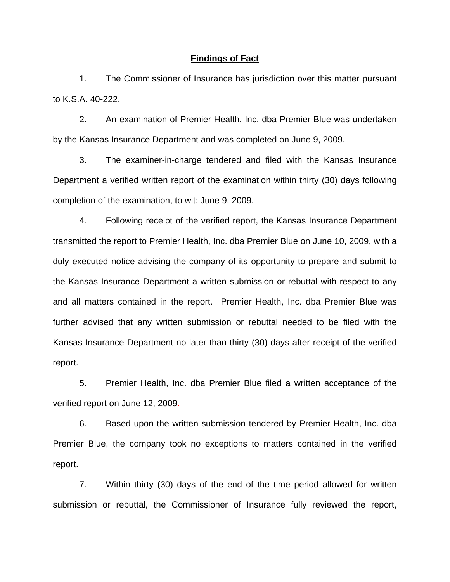### **Findings of Fact**

 1. The Commissioner of Insurance has jurisdiction over this matter pursuant to K.S.A. 40-222.

 2. An examination of Premier Health, Inc. dba Premier Blue was undertaken by the Kansas Insurance Department and was completed on June 9, 2009.

 3. The examiner-in-charge tendered and filed with the Kansas Insurance Department a verified written report of the examination within thirty (30) days following completion of the examination, to wit; June 9, 2009.

 4. Following receipt of the verified report, the Kansas Insurance Department transmitted the report to Premier Health, Inc. dba Premier Blue on June 10, 2009, with a duly executed notice advising the company of its opportunity to prepare and submit to the Kansas Insurance Department a written submission or rebuttal with respect to any and all matters contained in the report. Premier Health, Inc. dba Premier Blue was further advised that any written submission or rebuttal needed to be filed with the Kansas Insurance Department no later than thirty (30) days after receipt of the verified report.

 5. Premier Health, Inc. dba Premier Blue filed a written acceptance of the verified report on June 12, 2009.

6. Based upon the written submission tendered by Premier Health, Inc. dba Premier Blue, the company took no exceptions to matters contained in the verified report.

 7. Within thirty (30) days of the end of the time period allowed for written submission or rebuttal, the Commissioner of Insurance fully reviewed the report,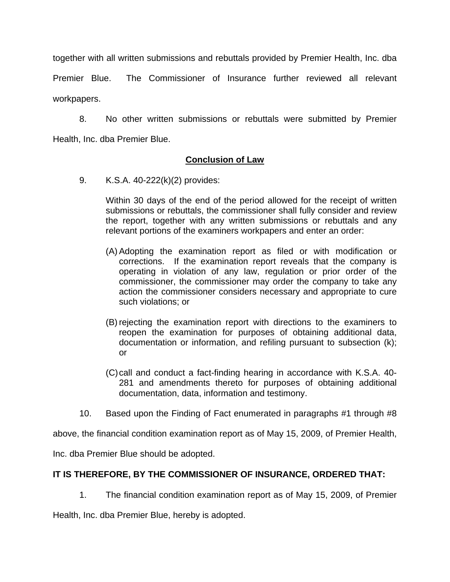together with all written submissions and rebuttals provided by Premier Health, Inc. dba

Premier Blue. The Commissioner of Insurance further reviewed all relevant workpapers.

 8. No other written submissions or rebuttals were submitted by Premier Health, Inc. dba Premier Blue.

## **Conclusion of Law**

9. K.S.A. 40-222(k)(2) provides:

Within 30 days of the end of the period allowed for the receipt of written submissions or rebuttals, the commissioner shall fully consider and review the report, together with any written submissions or rebuttals and any relevant portions of the examiners workpapers and enter an order:

- (A) Adopting the examination report as filed or with modification or corrections. If the examination report reveals that the company is operating in violation of any law, regulation or prior order of the commissioner, the commissioner may order the company to take any action the commissioner considers necessary and appropriate to cure such violations; or
- (B) rejecting the examination report with directions to the examiners to reopen the examination for purposes of obtaining additional data, documentation or information, and refiling pursuant to subsection (k); or
- (C) call and conduct a fact-finding hearing in accordance with K.S.A. 40- 281 and amendments thereto for purposes of obtaining additional documentation, data, information and testimony.
- 10. Based upon the Finding of Fact enumerated in paragraphs #1 through #8

above, the financial condition examination report as of May 15, 2009, of Premier Health,

Inc. dba Premier Blue should be adopted.

# **IT IS THEREFORE, BY THE COMMISSIONER OF INSURANCE, ORDERED THAT:**

1. The financial condition examination report as of May 15, 2009, of Premier

Health, Inc. dba Premier Blue, hereby is adopted.